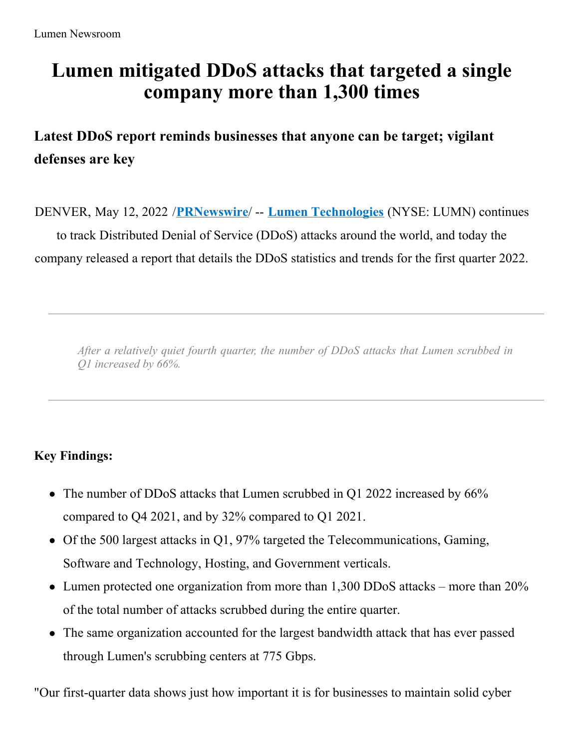# **Lumen mitigated DDoS attacks that targeted a single company more than 1,300 times**

**Latest DDoS report reminds businesses that anyone can be target; vigilant defenses are key**

DENVER, May 12, 2022 /**[PRNewswire](http://www.prnewswire.com/)**/ -- **Lumen [Technologies](https://c212.net/c/link/?t=0&l=en&o=3534546-1&h=3388948661&u=https%3A%2F%2Fnews.lumen.com%2F&a=Lumen+Technologies)** (NYSE: LUMN) continues to track Distributed Denial of Service (DDoS) attacks around the world, and today the company released a report that details the DDoS statistics and trends for the first quarter 2022.

*After a relatively quiet fourth quarter, the number of DDoS attacks that Lumen scrubbed in Q1 increased by 66%.*

# **Key Findings:**

- The number of DDoS attacks that Lumen scrubbed in Q1 2022 increased by 66% compared to Q4 2021, and by 32% compared to Q1 2021.
- Of the 500 largest attacks in Q1, 97% targeted the Telecommunications, Gaming, Software and Technology, Hosting, and Government verticals.
- Lumen protected one organization from more than 1,300 DDoS attacks more than 20% of the total number of attacks scrubbed during the entire quarter.
- The same organization accounted for the largest bandwidth attack that has ever passed through Lumen's scrubbing centers at 775 Gbps.

"Our first-quarter data shows just how important it is for businesses to maintain solid cyber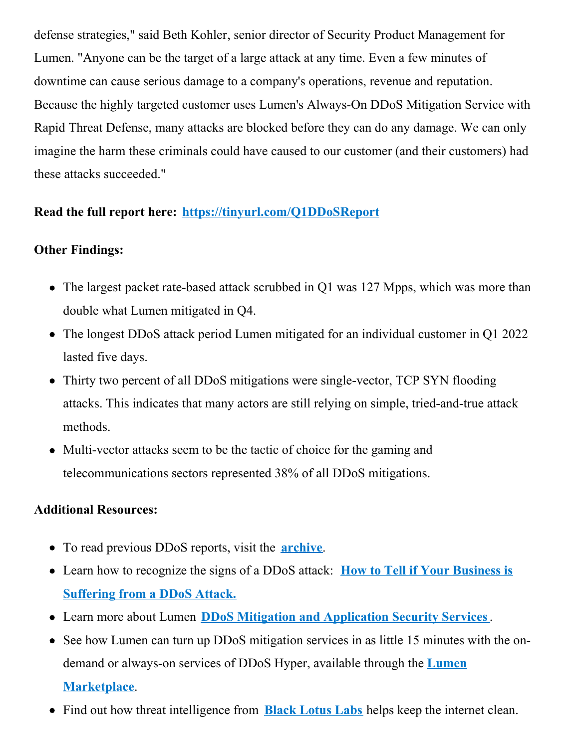defense strategies," said Beth Kohler, senior director of Security Product Management for Lumen. "Anyone can be the target of a large attack at any time. Even a few minutes of downtime can cause serious damage to a company's operations, revenue and reputation. Because the highly targeted customer uses Lumen's Always-On DDoS Mitigation Service with Rapid Threat Defense, many attacks are blocked before they can do any damage. We can only imagine the harm these criminals could have caused to our customer (and their customers) had these attacks succeeded."

## **Read the full report here: [https://tinyurl.com/Q1DDoSReport](https://c212.net/c/link/?t=0&l=en&o=3534546-1&h=2713949868&u=https%3A%2F%2Ftinyurl.com%2FQ1DDoSReport&a=https%3A%2F%2Ftinyurl.com%2FQ1DDoSReport)**

## **Other Findings:**

- The largest packet rate-based attack scrubbed in Q1 was 127 Mpps, which was more than double what Lumen mitigated in Q4.
- The longest DDoS attack period Lumen mitigated for an individual customer in Q1 2022 lasted five days.
- Thirty two percent of all DDoS mitigations were single-vector, TCP SYN flooding attacks. This indicates that many actors are still relying on simple, tried-and-true attack methods.
- Multi-vector attacks seem to be the tactic of choice for the gaming and telecommunications sectors represented 38% of all DDoS mitigations.

#### **Additional Resources:**

- To read previous DDoS reports, visit the **[archive](https://c212.net/c/link/?t=0&l=en&o=3534546-1&h=629033205&u=https%3A%2F%2Fblog.lumen.com%2Ftag%2Fddos-quarterly-reports%2F&a=archive)**.
- Learn how to [recognize](https://c212.net/c/link/?t=0&l=en&o=3534546-1&h=1043687855&u=https%3A%2F%2Fblog.lumen.com%2Fhow-to-tell-if-your-business-is-suffering-from-a-ddos-attack%2F%3Futm_source%3Dddos%2Breport%26utm_medium%3Dreferral%26utm_campaign%3Dq1%2B2022&a=How+to+Tell+if+Your+Business+is+Suffering+from+a+DDoS+Attack.) the signs of a DDoS attack: **How to Tell if Your Business is Suffering from a DDoS Attack.**
- Learn more about Lumen **DDoS Mitigation and [Application](https://c212.net/c/link/?t=0&l=en&o=3534546-1&h=2441985106&u=https%3A%2F%2Fwww.lumen.com%2Fen-us%2Fsecurity%2Fddos-and-web-application.html&a=DDoS+Mitigation+and+Application+Security+Services) Security Services**.
- See how Lumen can turn up DDoS mitigation services in as little 15 minutes with the ondemand or always-on services of DDoS Hyper, available through the **Lumen [Marketplace](https://c212.net/c/link/?t=0&l=en&o=3534546-1&h=312876659&u=https%3A%2F%2Fwww.lumen.com%2Fen-us%2Fmarketplace.html&a=Lumen+Marketplace)**.
- Find out how threat intelligence from **Black [Lotus](https://c212.net/c/link/?t=0&l=en&o=3534546-1&h=1900615763&u=https%3A%2F%2Fwww.lumen.com%2Fen-us%2Fsecurity%2Fblack-lotus-labs.html&a=Black+Lotus+Labs) Labs** helps keep the internet clean.